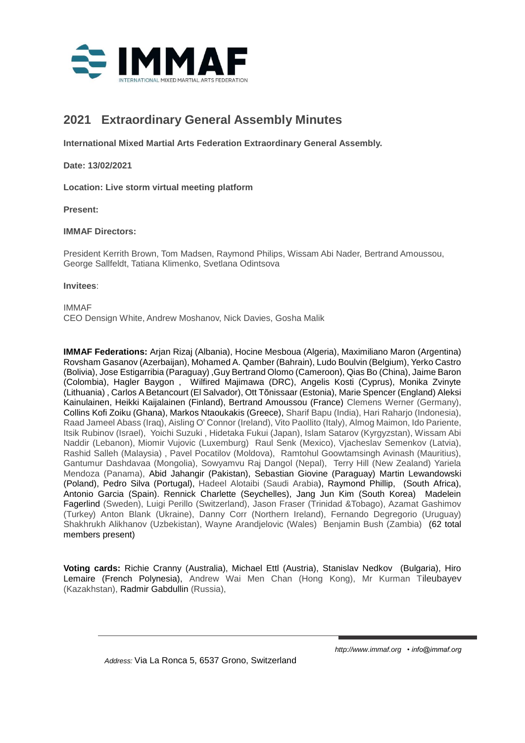

# **2021 Extraordinary General Assembly Minutes**

**International Mixed Martial Arts Federation Extraordinary General Assembly.**

**Date: 13/02/2021**

**Location: Live storm virtual meeting platform**

**Present:**

### **IMMAF Directors:**

President Kerrith Brown, Tom Madsen, Raymond Philips, Wissam Abi Nader, Bertrand Amoussou, George Sallfeldt, Tatiana Klimenko, Svetlana Odintsova

### **Invitees**:

IMMAF CEO Densign White, Andrew Moshanov, Nick Davies, Gosha Malik

**IMMAF Federations:** Arjan Rizaj (Albania), Hocine Mesboua (Algeria), Maximiliano Maron (Argentina) Rovsham Gasanov (Azerbaijan), Mohamed A. Qamber (Bahrain), Ludo Boulvin (Belgium), Yerko Castro (Bolivia), Jose Estigarribia (Paraguay) ,Guy Bertrand Olomo (Cameroon), Qias Bo (China), Jaime Baron (Colombia), Hagler Baygon , Wilfired Majimawa (DRC), Angelis Kosti (Cyprus), Monika Zvinyte (Lithuania) , Carlos A Betancourt (El Salvador), Ott Tõnissaar (Estonia), Marie Spencer (England) Aleksi Kainulainen, Heikki Kaijalainen (Finland), Bertrand Amoussou (France) Clemens Werner (Germany), Collins Kofi Zoiku (Ghana), Markos Ntaoukakis (Greece), Sharif Bapu (India), Hari Raharjo (Indonesia), Raad Jameel Abass (Iraq), Aisling O' Connor (Ireland), Vito Paollito (Italy), Almog Maimon, Ido Pariente, Itsik Rubinov (Israel), Yoichi Suzuki , Hidetaka Fukui (Japan), Islam Satarov (Kyrgyzstan), Wissam Abi Naddir (Lebanon), Miomir Vujovic (Luxemburg) Raul Senk (Mexico), Vjacheslav Semenkov (Latvia), Rashid Salleh (Malaysia) , Pavel Pocatilov (Moldova), Ramtohul Goowtamsingh Avinash (Mauritius), Gantumur Dashdavaa (Mongolia), Sowyamvu Raj Dangol (Nepal), Terry Hill (New Zealand) Yariela Mendoza (Panama), Abid Jahangir (Pakistan), Sebastian Giovine (Paraguay) Martin Lewandowski (Poland), Pedro Silva (Portugal), Hadeel Alotaibi (Saudi Arabia), Raymond Phillip, (South Africa), Antonio Garcia (Spain). Rennick Charlette (Seychelles), Jang Jun Kim (South Korea) Madelein Fagerlind (Sweden), Luigi Perillo (Switzerland), Jason Fraser (Trinidad &Tobago), Azamat Gashimov (Turkey) Anton Blank (Ukraine), Danny Corr (Northern Ireland), Fernando Degregorio (Uruguay) Shakhrukh Alikhanov (Uzbekistan), Wayne Arandjelovic (Wales) Benjamin Bush (Zambia) (62 total members present)

**Voting cards:** Richie Cranny (Australia), Michael Ettl (Austria), Stanislav Nedkov (Bulgaria), Hiro Lemaire (French Polynesia), Andrew Wai Men Chan (Hong Kong), Mr Kurman Tileubayev (Kazakhstan), Radmir Gabdullin (Russia),

 *Address:* Via La Ronca 5, 6537 Grono, Switzerland

*[http://www.immaf.org](mailto:info@immaf.org) • info@immaf.org*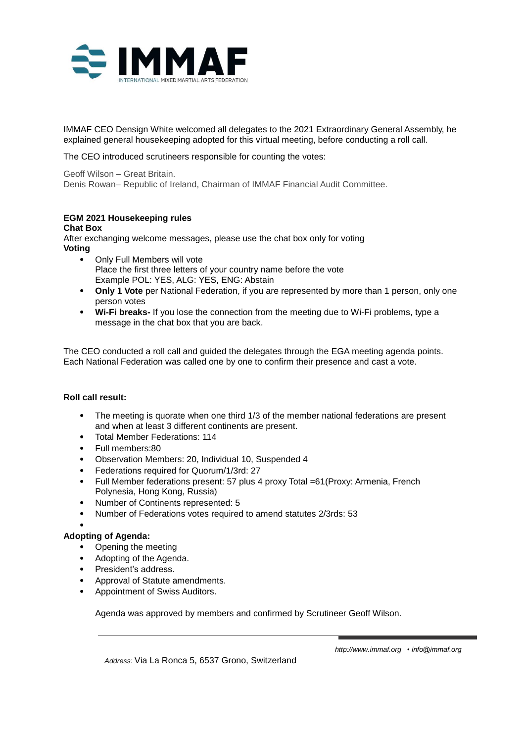

IMMAF CEO Densign White welcomed all delegates to the 2021 Extraordinary General Assembly, he explained general housekeeping adopted for this virtual meeting, before conducting a roll call.

The CEO introduced scrutineers responsible for counting the votes:

Geoff Wilson – Great Britain. Denis Rowan– Republic of Ireland, Chairman of IMMAF Financial Audit Committee.

## **EGM 2021 Housekeeping rules Chat Box**

After exchanging welcome messages, please use the chat box only for voting **Voting**

- Only Full Members will vote Place the first three letters of your country name before the vote Example POL: YES, ALG: YES, ENG: Abstain
- **Only 1 Vote** per National Federation, if you are represented by more than 1 person, only one person votes
- **Wi-Fi breaks-** If you lose the connection from the meeting due to Wi-Fi problems, type a message in the chat box that you are back.

The CEO conducted a roll call and guided the delegates through the EGA meeting agenda points. Each National Federation was called one by one to confirm their presence and cast a vote.

## **Roll call result:**

- The meeting is quorate when one third 1/3 of the member national federations are present and when at least 3 different continents are present.
- Total Member Federations: 114
- Full members:80
- Observation Members: 20, Individual 10, Suspended 4
- Federations required for Quorum/1/3rd: 27
- Full Member federations present: 57 plus 4 proxy Total =61(Proxy: Armenia, French Polynesia, Hong Kong, Russia)
- Number of Continents represented: 5
- Number of Federations votes required to amend statutes 2/3rds: 53

#### • **Adopting of Agenda:**

- Opening the meeting
- Adopting of the Agenda.
- President's address.
- Approval of Statute amendments.
- Appointment of Swiss Auditors.

Agenda was approved by members and confirmed by Scrutineer Geoff Wilson.

 *Address:* Via La Ronca 5, 6537 Grono, Switzerland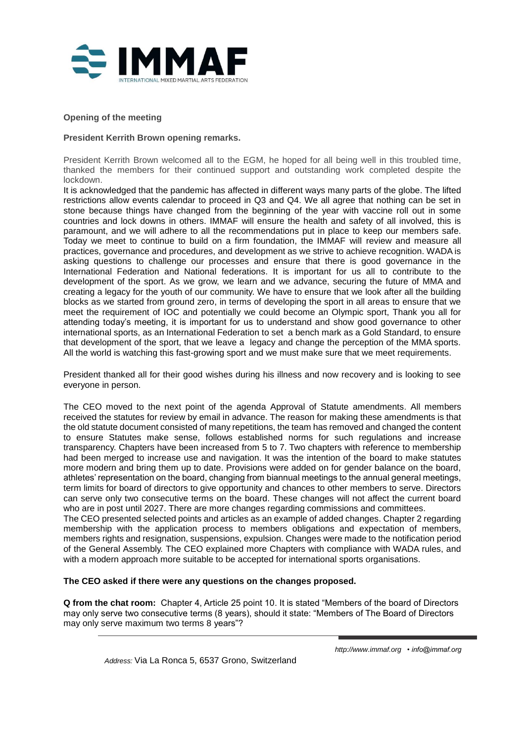

#### **Opening of the meeting**

### **President Kerrith Brown opening remarks.**

President Kerrith Brown welcomed all to the EGM, he hoped for all being well in this troubled time, thanked the members for their continued support and outstanding work completed despite the lockdown.

It is acknowledged that the pandemic has affected in different ways many parts of the globe. The lifted restrictions allow events calendar to proceed in Q3 and Q4. We all agree that nothing can be set in stone because things have changed from the beginning of the year with vaccine roll out in some countries and lock downs in others. IMMAF will ensure the health and safety of all involved, this is paramount, and we will adhere to all the recommendations put in place to keep our members safe. Today we meet to continue to build on a firm foundation, the IMMAF will review and measure all practices, governance and procedures, and development as we strive to achieve recognition. WADA is asking questions to challenge our processes and ensure that there is good governance in the International Federation and National federations. It is important for us all to contribute to the development of the sport. As we grow, we learn and we advance, securing the future of MMA and creating a legacy for the youth of our community. We have to ensure that we look after all the building blocks as we started from ground zero, in terms of developing the sport in all areas to ensure that we meet the requirement of IOC and potentially we could become an Olympic sport, Thank you all for attending today's meeting, it is important for us to understand and show good governance to other international sports, as an International Federation to set a bench mark as a Gold Standard, to ensure that development of the sport, that we leave a legacy and change the perception of the MMA sports. All the world is watching this fast-growing sport and we must make sure that we meet requirements.

President thanked all for their good wishes during his illness and now recovery and is looking to see everyone in person.

The CEO moved to the next point of the agenda Approval of Statute amendments. All members received the statutes for review by email in advance. The reason for making these amendments is that the old statute document consisted of many repetitions, the team has removed and changed the content to ensure Statutes make sense, follows established norms for such regulations and increase transparency. Chapters have been increased from 5 to 7. Two chapters with reference to membership had been merged to increase use and navigation. It was the intention of the board to make statutes more modern and bring them up to date. Provisions were added on for gender balance on the board, athletes' representation on the board, changing from biannual meetings to the annual general meetings, term limits for board of directors to give opportunity and chances to other members to serve. Directors can serve only two consecutive terms on the board. These changes will not affect the current board who are in post until 2027. There are more changes regarding commissions and committees.

The CEO presented selected points and articles as an example of added changes. Chapter 2 regarding membership with the application process to members obligations and expectation of members, members rights and resignation, suspensions, expulsion. Changes were made to the notification period of the General Assembly. The CEO explained more Chapters with compliance with WADA rules, and with a modern approach more suitable to be accepted for international sports organisations.

#### **The CEO asked if there were any questions on the changes proposed.**

**Q from the chat room:** Chapter 4, Article 25 point 10. It is stated "Members of the board of Directors may only serve two consecutive terms (8 years), should it state: "Members of The Board of Directors may only serve maximum two terms 8 years"?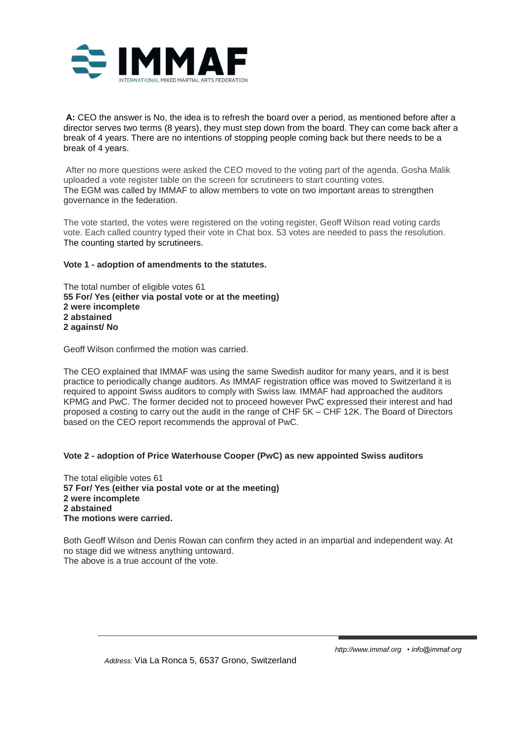

**A:** CEO the answer is No, the idea is to refresh the board over a period, as mentioned before after a director serves two terms (8 years), they must step down from the board. They can come back after a break of 4 years. There are no intentions of stopping people coming back but there needs to be a break of 4 years.

After no more questions were asked the CEO moved to the voting part of the agenda. Gosha Malik uploaded a vote register table on the screen for scrutineers to start counting votes. The EGM was called by IMMAF to allow members to vote on two important areas to strengthen governance in the federation.

The vote started, the votes were registered on the voting register, Geoff Wilson read voting cards vote. Each called country typed their vote in Chat box. 53 votes are needed to pass the resolution. The counting started by scrutineers.

### **Vote 1 - adoption of amendments to the statutes.**

The total number of eligible votes 61 **55 For/ Yes (either via postal vote or at the meeting) 2 were incomplete 2 abstained 2 against/ No**

Geoff Wilson confirmed the motion was carried.

The CEO explained that IMMAF was using the same Swedish auditor for many years, and it is best practice to periodically change auditors. As IMMAF registration office was moved to Switzerland it is required to appoint Swiss auditors to comply with Swiss law. IMMAF had approached the auditors KPMG and PwC. The former decided not to proceed however PwC expressed their interest and had proposed a costing to carry out the audit in the range of CHF 5K – CHF 12K. The Board of Directors based on the CEO report recommends the approval of PwC.

#### **Vote 2 - adoption of Price Waterhouse Cooper (PwC) as new appointed Swiss auditors**

The total eligible votes 61 **57 For/ Yes (either via postal vote or at the meeting) 2 were incomplete 2 abstained The motions were carried.**

Both Geoff Wilson and Denis Rowan can confirm they acted in an impartial and independent way. At no stage did we witness anything untoward. The above is a true account of the vote.